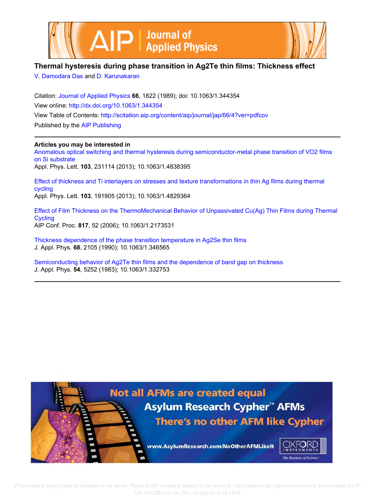



## **Thermal hysteresis during phase transition in Ag2Te thin films: Thickness effect**

V. Damodara Das and D. Karunakaran

Citation: Journal of Applied Physics **66**, 1822 (1989); doi: 10.1063/1.344354 View online: http://dx.doi.org/10.1063/1.344354 View Table of Contents: http://scitation.aip.org/content/aip/journal/jap/66/4?ver=pdfcov Published by the AIP Publishing

### **Articles you may be interested in**

Anomalous optical switching and thermal hysteresis during semiconductor-metal phase transition of VO2 films on Si substrate Appl. Phys. Lett. **103**, 231114 (2013); 10.1063/1.4838395

Effect of thickness and Ti interlayers on stresses and texture transformations in thin Ag films during thermal cycling Appl. Phys. Lett. **103**, 191905 (2013); 10.1063/1.4829364

Effect of Film Thickness on the ThermoMechanical Behavior of Unpassivated Cu(Ag) Thin Films during Thermal **Cycling** AIP Conf. Proc. **817**, 52 (2006); 10.1063/1.2173531

Thickness dependence of the phase transition temperature in Ag2Se thin films J. Appl. Phys. **68**, 2105 (1990); 10.1063/1.346565

Semiconducting behavior of Ag2Te thin films and the dependence of band gap on thickness J. Appl. Phys. **54**, 5252 (1983); 10.1063/1.332753

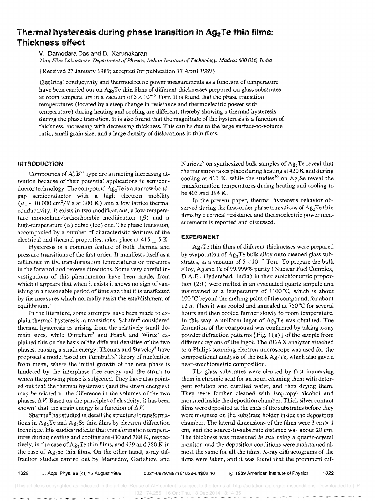# Thermal hysteresis during phase transition in  $Ag_2Te$  thin films: Thickness effect

V. Damodara Das and D. Karunakaran

*Thin Film Laboratory, Department of Physics, Indian Institute afTechnology, Madras 600 036, India* 

(Received 27 January 1989; accepted for publication 17 April 1989)

Electrical conductivity and thermoelectric power measurements as a function of temperature have been carried out on Ag<sub>2</sub>Te thin films of different thicknesses prepared on glass substrates at room temperature in a vacuum of  $5 \times 10^{-5}$  Torr. It is found that the phase transition temperatures (located by a steep change in resistance and thermoelectric power with temperature) during heating and cooling are different, thereby showing a thermal hysteresis during the phase transition. It is also found that the magnitude of the hysteresis is a function of thickness, increasing with decreasing thickness. This can be due to the large surface-to-volume ratio, small grain size, and a large density of dislocations in thin films.

#### **INTRODUCTION**

Compounds of  $A_2^I B^{VI}$  type are attracting increasing attention because of their potential applications in semiconductor technology. The compound  $Ag_2Te$  is a narrow-bandgap semiconductor with a high electron mobility  $(\mu_n \sim 10000 \text{ cm}^2/\text{V s at } 300 \text{ K})$  and a low lattice thermal conductivity. It exists in two modifications, a low-temperature monoclinic/orthorhombic modification  $(\beta)$  and a high-temperature  $(\alpha)$  cubic (fcc) one. The phase transition, accompanied by a number of characteristic features of the electrical and thermal properties, takes place at  $415 \pm 5$  K.

Hysteresis is a common feature of both thermal and pressure transitions of the first order. It manifests itself as a difference in the transformation temperatures or pressures in the forward and reverse directions. Some very careful investigations of this phenomenon have been made, from which it appears that when it exists it shows no sign of vanishing in a reasonable period of time and that it is unaffected by the measures which normally assist the establishment of equilibrium.<sup>1</sup>

In the literature, some attempts have been made to explain thermal hysteresis in transitions. Schafer<sup>2</sup> considered thermal hysteresis as arising from the relatively smail domain sizes, while Dinichert<sup>3</sup> and Frank and Wirtz<sup>4</sup> explained this on the basis of the different densities of the two phases, causing a strain energy. Thomas and Staveley<sup>5</sup> have proposed a model based on Turnbull's<sup>6</sup> theory of nucleation from melts, where the initial growth of the new phase is hindered by the interphase free energy and the strain to which the growing phase is subjected. They have also pointed out that the thermal hysteresis (and the strain energies) may be related to the difference in the volumes of the two phases,  $\Delta V$ . Based on the principles of elasticity, it has been shown<sup>7</sup> that the strain energy is a function of  $\Delta V$ .

Sharma<sup>8</sup> has studied in detail the structural transformations in  $Ag<sub>2</sub>Te$  and  $Ag<sub>2</sub>Se$  thin films by electron diffraction technique. His studies indicate that transformation temperatures during heating and cooling are 430 and 388 K, respectively, in the case of  $Ag<sub>2</sub>Te$  thin films, and 439 and 380 K in the case of Ag<sub>2</sub>Se thin films. On the other hand, x-ray diffraction studies carried out by Mamedov, Gadzhiev, and

Nurieva<sup>9</sup>on synthesized bulk samples of Ag*z* Te reveal that the transition takes place during heating at 420 K and during cooling at 411 K, while the studies<sup>10</sup> on Ag<sub>2</sub>Se reveal the transformation temperatures during heating and cooling to be 403 and 394 K.

In the present paper, thermal hysteresis behavior observed during the first-order phase transitions of  $Ag_2Te$  thin films by electrical resistance and thermoelectric power measurements is reported and discussed.

#### EXPERIMENT

 $Ag<sub>2</sub>$  Te thin films of different thicknesses were prepared by evaporation of Ag<sub>2</sub>Te bulk alloy onto cleaned glass substrates, in a vacuum of  $5 \times 10^{-5}$  Torr. To prepare the bulk alloy, Ag and Te of99.999% purity (Nuclear Fuel Complex, D.A.E., Hyderabad, India) in their stoichiometric proportion (2:1) were melted in an evacuated quartz ampule and maintained at a temperature of  $1100^{\circ}$ C, which is about 100°C beyond the melting point of the compound, for about 12 h. Then it was cooled and annealed at 750'C for several hours and then cooled further slowly to room temperature. In this way, a uniform ingot of  $Ag<sub>2</sub>Te$  was obtained. The formation of the compound was confirmed by taking x-ray powder diffraction patterns [Fig. 1 (a)] of the sample from different regions of the ingot. The EDAX analyzer attached to a Philips scanning electron microscope was used for the compositional analysis of the bulk  $Ag<sub>2</sub>Te$ , which also gave a near-stoichiometric composition.

The glass substrates were cleaned by first immersing them in chromic acid for an hour, cleaning them with detergent solution and distilled water, and then drying them. They were further cleaned with isopropyl alcohol and mounted inside the deposition chamber. Thick silver contact films were deposited at the ends of the substrates before they were mounted on the substrate holder inside the deposition chamber. The lateral dimensions of the films were 3 cm $\times$  1 em, and the source-to-substrate distance was about 20 cm. The thickness was measured *in situ* using a quartz-crystal monitor, and the deposition conditions were maintained almost the same for all the films. X-ray diffractograms of the films were taken, and it was found that the prominent dif-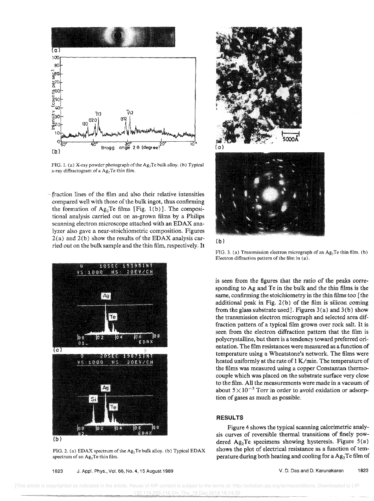

FIG. 1. (a) X-ray powder photograph of the  $Ag_2Te$  bulk alloy. (b) Typical x-ray diffractogram of a  $Ag<sub>2</sub>Te$  thin film.

. fraction lines of the film and also their relative intensities compared well with those of the bulk ingot, thus confirming the formation of  $Ag_2Te$  films [Fig. 1(b)]. The compositional analysis carried out on as-grown films by a Philips scanning electron microscope attached with an EDAX analyzer also gave a near-stoichiometric composition. Figures  $2(a)$  and  $2(b)$  show the results of the EDAX analysis carried out on the bulk sample and the thin film, respectively. It



(b)

FIG. 2. (a) EDAX spectrum of the Ag<sub>2</sub>Te bulk alloy. (b) Typical EDAX spectrum of an  $Ag<sub>2</sub>Te$  thin film.

1823 J. Appl. Phys., Vol. 66, No.4, 15 August 1989







FIG. 3. (a) Transmission electron micrograph of an  $Ag<sub>2</sub>Te$  thin film. (b) Electron diffraction pattern of the film in  $(a)$ .

is seen from the figures that the ratio of the peaks corresponding to Ag and Te in the bulk and the thin films is the same, confirming the stoichiometry in the thin films too [the additional peak in Fig.  $2(b)$  of the film is silicon coming from the glass substrate used]. Figures 3(a) and 3(b) show the transmission electron micrograph and selected area diffraction pattern of a typical film grown over rock salt. It is seen from the electron diffraction pattern that the film is poly crystalline, but there is a tendency toward preferred orientation. The film resistances were measured as a function of temperature using a Wheatstone's network. The films were heated uniformly at the rate of 1 K/min. The temperature of the films was measured using a copper Constantan thermocouple which was placed on the substrate surface very close to the film. All the measurements were made in a vacuum of about  $5 \times 10^{-5}$  Torr in order to avoid oxidation or adsorption of gases as much as possible,

#### **RESULTS**

Figure 4 shows the typical scanning calorimetric analysis curves of reversible thermal transitions of finely powdered Ag<sub>2</sub>Te specimens showing hysteresis. Figure  $5(a)$ shows the plot of electrical resistance as a function of temperature during both heating and cooling for a  $Ag<sub>2</sub>Te$  film of

v. D. Das and D. Karunakaran 1823

 [This article is copyrighted as indicated in the article. Reuse of AIP content is subject to the terms at: http://scitation.aip.org/termsconditions. Downloaded to ] IP: 132.174.255.116 On: Thu, 18 Dec 2014 18:14:35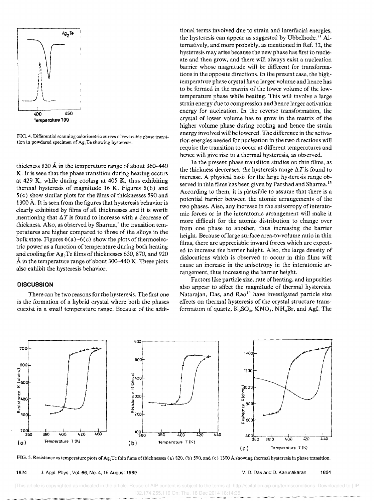

FIG. 4. Differentia! scanning calorimetric curves of reversible phase transition in powdered specimen of  $Ag<sub>2</sub>Te$  showing hysteresis.

thickness 820  $\AA$  in the temperature range of about 360-440 K. It is seen that the phase transition during heating occurs at 429 K, while during cooling at 405 K, thus exhibiting thermal hysteresis of magnitude 16 K. Figures  $5(b)$  and 5 ( c) show similar plots for the films of thicknesses 590 and 1300 A. It is seen from the figures that hysteresis behavior is clearly exhibited by films of all thicknesses and it is worth mentioning that  $\Delta T$  is found to increase with a decrease of thickness. Also, as observed by Sharma,<sup>8</sup> the transition temperatures are higher compared to those of the alloys in the bulk state. Figures  $6(a)$ -6(c) show the plots of thermoelectric power as a function of temperature during both heating and cooling for Ag<sub>2</sub>Te films of thicknesses 630, 870, and 920 Å in the temperature range of about 300-440 K. These plots also exhibit the hysteresis behavior.

#### **DISCUSSION**

There can be two reasons for the hysteresis. The first one is the formation of a hybrid crystal where both the phases coexist in a small temperature range. Because of the additional terms involved due to strain and interfacial energies, the hysteresis can appear as suggested by Ubbelhode.<sup>11</sup> Alternatively, and more probably, as mentioned in Ref. 12, the hysteresis may arise because the new phase has first to nucleate and then grow, and there will always exist a nucleation barrier whose magnitude will be different for transformations in the opposite directions. In the present case, the hightemperature phase crystal has a larger volume and hence has to be formed in the matrix of the lower volume of the lowtemperature phase while heating. This will involve a large strain energy due to compression and hence larger activation energy for nucleation. In the reverse transformation, the crystal of lower volume has to grow in the matrix of the higher volume phase during cooling and hence the strain energy involved will be lowered. The difference in the activation energies needed for nucleation in the two directions will require the transition to occur at different temperatures and hence will give rise to a thermal hysteresis, as observed.

In the present phase transition studies on thin films, as the thickness decreases, the hysteresis range  $\Delta T$  is found to increase. A physical basis for the large hysteresis range observed in thin films has been given by Parshad and Sharma.<sup>13</sup> According to them, it is plausible to assume that there is a potential barrier between the atomic arrangements of the two phases. Also, any increase in the anisotropy of interatomic forces or in the interatomic arrangement will make it more difficult for the atomic distribution to change over from one phase to another, thus increasing the barrier height. Because of large surface area-to-volume ratio in thin films, there are appreciable inward forces which are expected to increase the barrier height. Also, the large density of dislocations which is observed to occur in thin films will cause an increase in the anisotropy in the interatomic arrangement, thus increasing the barrier height

Factors like particle size, rate of heating, and impurities also appear to affect the magnitude of thermal hysteresis. Natarajan, Das, and Rao<sup>14</sup> have investigated particle size effects on thermal hysteresis of the crystal structure transformation of quartz,  $K_2SO_4$ ,  $KNO_3$ ,  $NH_4Br$ , and AgI. The



FIG. 5. Resistance vs temperature plots of Ag<sub>2</sub>Te thin films of thicknesses (a) 820, (b) 590, and (c) 1300 Å showing thermal hysteresis in phase transition.

1824 J. Appl. Phys., Vol. 66, No.4, 15 August 1989 V. D. Das and D. Karunakaran 1824

..............• ;.:.:.:.:.:.:.: ................... , .. [This article is copyrighted as indicated in the article. Reuse of AIP content is subject to the terms at: http://scitation.aip.org/termsconditions. Downloaded to ] IP: 132.174.255.116 On: Thu, 18 Dec 2014 18:14:35